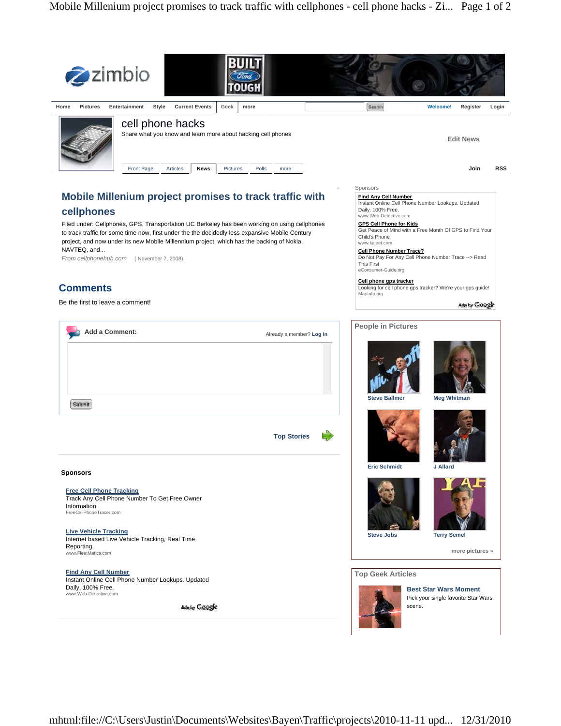